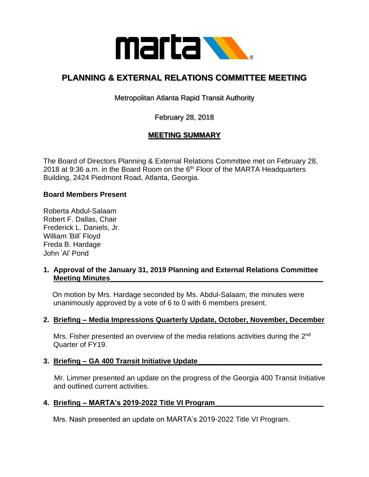

# **PLANNING & EXTERNAL RELATIONS COMMITTEE MEETING**

Metropolitan Atlanta Rapid Transit Authority

February 28, 2018

# **MEETING SUMMARY**

The Board of Directors Planning & External Relations Committee met on February 28, 2018 at 9:36 a.m. in the Board Room on the  $6<sup>th</sup>$  Floor of the MARTA Headquarters Building, 2424 Piedmont Road, Atlanta, Georgia.

#### **Board Members Present**

Roberta Abdul-Salaam Robert F. Dallas, Chair Frederick L. Daniels, Jr. William 'Bill' Floyd Freda B. Hardage John 'Al' Pond

#### **1. Approval of the January 31, 2019 Planning and External Relations Committee Meeting Minutes\_**

 On motion by Mrs. Hardage seconded by Ms. Abdul-Salaam, the minutes were unanimously approved by a vote of 6 to 0 with 6 members present.

#### **2. Briefing – Media Impressions Quarterly Update, October, November, December**

Mrs. Fisher presented an overview of the media relations activities during the 2<sup>nd</sup> Quarter of FY19.

#### **3. Briefing – GA 400 Transit Initiative Update\_\_\_\_\_\_\_\_\_\_\_\_\_\_\_\_\_\_\_\_\_\_\_\_\_\_\_\_\_\_\_**

Mr. Limmer presented an update on the progress of the Georgia 400 Transit Initiative and outlined current activities.

#### **4. Briefing – MARTA's 2019-2022 Title VI Program\_\_\_\_\_\_\_\_\_\_\_\_\_\_\_\_\_\_\_\_\_\_\_\_\_\_\_**

Mrs. Nash presented an update on MARTA's 2019-2022 Title VI Program.